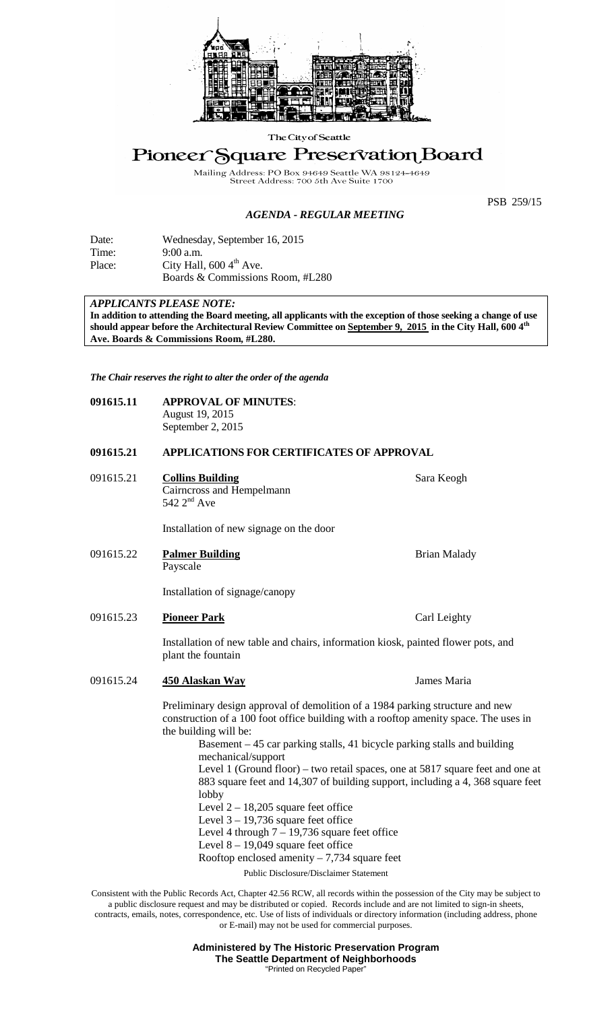

The City of Seattle

# Pioneer Square Preservation Board

Mailing Address: PO Box 94649 Seattle W.<br>Street Address: 700 5th Ave Suite

PSB 259/15

### *AGENDA - REGULAR MEETING*

| Date:  | Wednesday, September 16, 2015        |
|--------|--------------------------------------|
| Time:  | $9:00$ a.m.                          |
| Place: | City Hall, $600\,4^{\text{th}}$ Ave. |
|        | Boards & Commissions Room, #L280     |

## *APPLICANTS PLEASE NOTE:*

**In addition to attending the Board meeting, all applicants with the exception of those seeking a change of use should appear before the Architectural Review Committee on September 9, 2015 in the City Hall, 600 4th Ave. Boards & Commissions Room, #L280.**

*The Chair reserves the right to alter the order of the agenda*

| 091615.11 | <b>APPROVAL OF MINUTES:</b> |
|-----------|-----------------------------|
|           | August 19, 2015             |
|           | September 2, 2015           |

#### **091615.21 APPLICATIONS FOR CERTIFICATES OF APPROVAL**

091615.21 **Collins Building** Sara Keogh Cairncross and Hempelmann  $542$   $2<sup>nd</sup>$  Ave

Installation of new signage on the door

091615.22 **Palmer Building** Brian Malady Payscale

Installation of signage/canopy

091615.23 **Pioneer Park** Carl Leighty

Installation of new table and chairs, information kiosk, painted flower pots, and plant the fountain

## 091615.24 **450 Alaskan Way** James Maria

Preliminary design approval of demolition of a 1984 parking structure and new construction of a 100 foot office building with a rooftop amenity space. The uses in the building will be:

> Basement – 45 car parking stalls, 41 bicycle parking stalls and building mechanical/support Level 1 (Ground floor) – two retail spaces, one at 5817 square feet and one at 883 square feet and 14,307 of building support, including a 4, 368 square feet lobby

- Level  $2 18,205$  square feet office
- Level  $3 19,736$  square feet office

Level 4 through  $7 - 19,736$  square feet office

Level  $8 - 19,049$  square feet office

Rooftop enclosed amenity  $-7,734$  square feet

Public Disclosure/Disclaimer Statement

Consistent with the Public Records Act, Chapter 42.56 RCW, all records within the possession of the City may be subject to a public disclosure request and may be distributed or copied. Records include and are not limited to sign-in sheets, contracts, emails, notes, correspondence, etc. Use of lists of individuals or directory information (including address, phone or E-mail) may not be used for commercial purposes.

> **Administered by The Historic Preservation Program The Seattle Department of Neighborhoods** "Printed on Recycled Pape